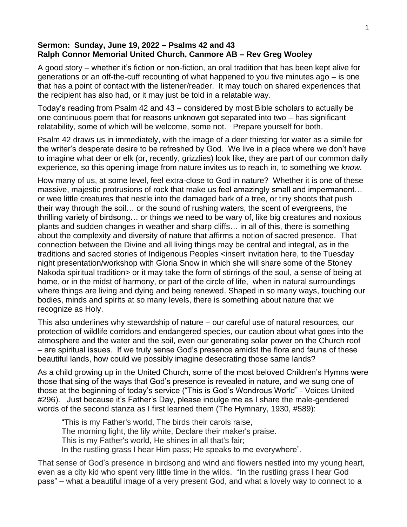## **Sermon: Sunday, June 19, 2022 – Psalms 42 and 43 Ralph Connor Memorial United Church, Canmore AB – Rev Greg Wooley**

A good story – whether it's fiction or non-fiction, an oral tradition that has been kept alive for generations or an off-the-cuff recounting of what happened to you five minutes ago – is one that has a point of contact with the listener/reader. It may touch on shared experiences that the recipient has also had, or it may just be told in a relatable way.

Today's reading from Psalm 42 and 43 – considered by most Bible scholars to actually be one continuous poem that for reasons unknown got separated into two – has significant relatability, some of which will be welcome, some not. Prepare yourself for both.

Psalm 42 draws us in immediately, with the image of a deer thirsting for water as a simile for the writer's desperate desire to be refreshed by God. We live in a place where we don't have to imagine what deer or elk (or, recently, grizzlies) look like, they are part of our common daily experience, so this opening image from nature invites us to reach in, to something we *know.*

How many of us, at some level, feel extra-close to God in nature? Whether it is one of these massive, majestic protrusions of rock that make us feel amazingly small and impermanent… or wee little creatures that nestle into the damaged bark of a tree, or tiny shoots that push their way through the soil… or the sound of rushing waters, the scent of evergreens, the thrilling variety of birdsong… or things we need to be wary of, like big creatures and noxious plants and sudden changes in weather and sharp cliffs… in all of this, there is something about the complexity and diversity of nature that affirms a notion of sacred presence. That connection between the Divine and all living things may be central and integral, as in the traditions and sacred stories of Indigenous Peoples <insert invitation here, to the Tuesday night presentation/workshop with Gloria Snow in which she will share some of the Stoney Nakoda spiritual tradition> or it may take the form of stirrings of the soul, a sense of being at home, or in the midst of harmony, or part of the circle of life, when in natural surroundings where things are living and dying and being renewed. Shaped in so many ways, touching our bodies, minds and spirits at so many levels, there is something about nature that we recognize as Holy.

This also underlines why stewardship of nature – our careful use of natural resources, our protection of wildlife corridors and endangered species, our caution about what goes into the atmosphere and the water and the soil, even our generating solar power on the Church roof – are spiritual issues. If we truly sense God's presence amidst the flora and fauna of these beautiful lands, how could we possibly imagine desecrating those same lands?

As a child growing up in the United Church, some of the most beloved Children's Hymns were those that sing of the ways that God's presence is revealed in nature, and we sung one of those at the beginning of today's service ("This is God's Wondrous World" - Voices United #296). Just because it's Father's Day, please indulge me as I share the male-gendered words of the second stanza as I first learned them (The Hymnary, 1930, #589):

"This is my Father's world, The birds their carols raise, The morning light, the lily white, Declare their maker's praise. This is my Father's world, He shines in all that's fair; In the rustling grass I hear Him pass; He speaks to me everywhere".

That sense of God's presence in birdsong and wind and flowers nestled into my young heart, even as a city kid who spent very little time in the wilds. "In the rustling grass I hear God pass" – what a beautiful image of a very present God, and what a lovely way to connect to a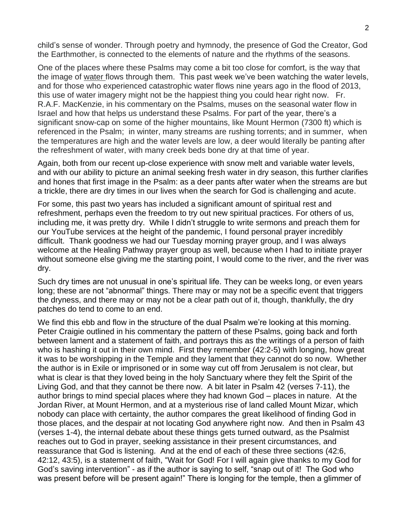child's sense of wonder. Through poetry and hymnody, the presence of God the Creator, God the Earthmother, is connected to the elements of nature and the rhythms of the seasons.

One of the places where these Psalms may come a bit too close for comfort, is the way that the image of water flows through them. This past week we've been watching the water levels, and for those who experienced catastrophic water flows nine years ago in the flood of 2013, this use of water imagery might not be the happiest thing you could hear right now. Fr. R.A.F. MacKenzie, in his commentary on the Psalms, muses on the seasonal water flow in Israel and how that helps us understand these Psalms. For part of the year, there's a significant snow-cap on some of the higher mountains, like Mount Hermon (7300 ft) which is referenced in the Psalm; in winter, many streams are rushing torrents; and in summer, when the temperatures are high and the water levels are low, a deer would literally be panting after the refreshment of water, with many creek beds bone dry at that time of year.

Again, both from our recent up-close experience with snow melt and variable water levels, and with our ability to picture an animal seeking fresh water in dry season, this further clarifies and hones that first image in the Psalm: as a deer pants after water when the streams are but a trickle, there are dry times in our lives when the search for God is challenging and acute.

For some, this past two years has included a significant amount of spiritual rest and refreshment, perhaps even the freedom to try out new spiritual practices. For others of us, including me, it was pretty dry. While I didn't struggle to write sermons and preach them for our YouTube services at the height of the pandemic, I found personal prayer incredibly difficult. Thank goodness we had our Tuesday morning prayer group, and I was always welcome at the Healing Pathway prayer group as well, because when I had to initiate prayer without someone else giving me the starting point, I would come to the river, and the river was dry.

Such dry times are not unusual in one's spiritual life. They can be weeks long, or even years long; these are not "abnormal" things. There may or may not be a specific event that triggers the dryness, and there may or may not be a clear path out of it, though, thankfully, the dry patches do tend to come to an end.

We find this ebb and flow in the structure of the dual Psalm we're looking at this morning. Peter Craigie outlined in his commentary the pattern of these Psalms, going back and forth between lament and a statement of faith, and portrays this as the writings of a person of faith who is hashing it out in their own mind. First they remember (42:2-5) with longing, how great it was to be worshipping in the Temple and they lament that they cannot do so now. Whether the author is in Exile or imprisoned or in some way cut off from Jerusalem is not clear, but what is clear is that they loved being in the holy Sanctuary where they felt the Spirit of the Living God, and that they cannot be there now. A bit later in Psalm 42 (verses 7-11), the author brings to mind special places where they had known God – places in nature. At the Jordan River, at Mount Hermon, and at a mysterious rise of land called Mount Mizar, which nobody can place with certainty, the author compares the great likelihood of finding God in those places, and the despair at not locating God anywhere right now. And then in Psalm 43 (verses 1-4), the internal debate about these things gets turned outward, as the Psalmist reaches out to God in prayer, seeking assistance in their present circumstances, and reassurance that God is listening. And at the end of each of these three sections (42:6, 42:12, 43:5), is a statement of faith, "Wait for God! For I will again give thanks to my God for God's saving intervention" - as if the author is saying to self, "snap out of it! The God who was present before will be present again!" There is longing for the temple, then a glimmer of